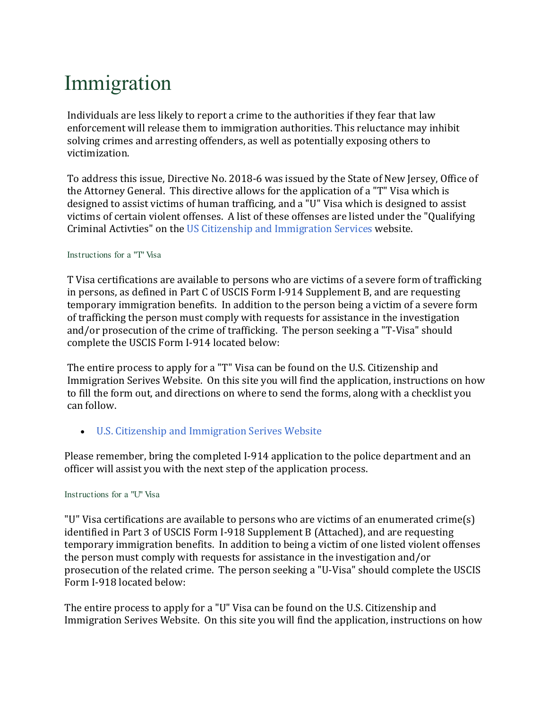## Immigration

Individuals are less likely to report a crime to the authorities if they fear that law enforcement will release them to immigration authorities. This reluctance may inhibit solving crimes and arresting offenders, as well as potentially exposing others to victimization.

To address this issue, Directive No. 2018-6 was issued by the State of New Jersey, Office of the Attorney General. This directive allows for the application of a "T" Visa which is designed to assist victims of human trafficing, and a "U" Visa which is designed to assist victims of certain violent offenses. A list of these offenses are listed under the "Qualifying Criminal Activties" on the US Citizenship and [Immigration Services](https://www.uscis.gov/humanitarian/victims-human-trafficking-other-crimes/victims-criminal-activity-u-nonimmigrant-status/victims-criminal-activity-u-nonimmigrant-status) website.

## Instructions for a "T" Visa

T Visa certifications are available to persons who are victims of a severe form of trafficking in persons, as defined in Part C of USCIS Form I-914 Supplement B, and are requesting temporary immigration benefits. In addition to the person being a victim of a severe form of trafficking the person must comply with requests for assistance in the investigation and/or prosecution of the crime of trafficking. The person seeking a "T-Visa" should complete the USCIS Form I-914 located below:

The entire process to apply for a "T" Visa can be found on the U.S. Citizenship and Immigration Serives Website. On this site you will find the application, instructions on how to fill the form out, and directions on where to send the forms, along with a checklist you can follow.

• U.S. Citizenship [and Immigration](https://www.uscis.gov/i-914) Serives Website

Please remember, bring the completed I-914 application to the police department and an officer will assist you with the next step of the application process.

## Instructions for a "U" Visa

"U" Visa certifications are available to persons who are victims of an enumerated crime(s) identified in Part 3 of USCIS Form I-918 Supplement B (Attached), and are requesting temporary immigration benefits. In addition to being a victim of one listed violent offenses the person must comply with requests for assistance in the investigation and/or prosecution of the related crime. The person seeking a "U-Visa" should complete the USCIS Form I-918 located below:

The entire process to apply for a "U" Visa can be found on the U.S. Citizenship and Immigration Serives Website. On this site you will find the application, instructions on how